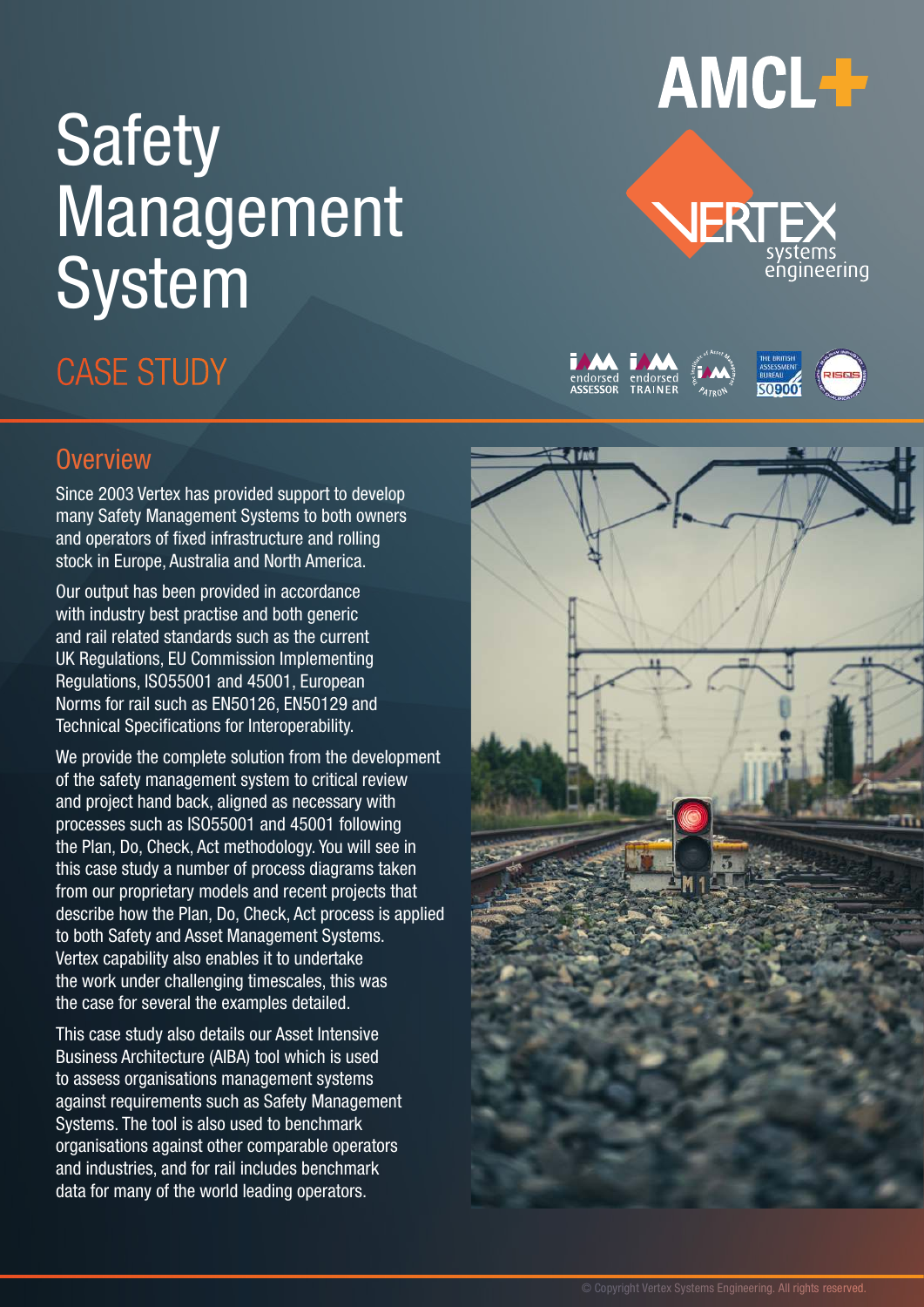## **Safety** Management System

### **CASE STUDY**

### **Overview**

Since 2003 Vertex has provided support to develop many Safety Management Systems to both owners and operators of fixed infrastructure and rolling stock in Europe, Australia and North America.

Our output has been provided in accordance with industry best practise and both generic and rail related standards such as the current UK Regulations, EU Commission Implementing Regulations, ISO55001 and 45001, European Norms for rail such as EN50126, EN50129 and Technical Specifications for Interoperability.

We provide the complete solution from the development of the safety management system to critical review and project hand back, aligned as necessary with processes such as ISO55001 and 45001 following the Plan, Do, Check, Act methodology. You will see in this case study a number of process diagrams taken from our proprietary models and recent projects that describe how the Plan, Do, Check, Act process is applied to both Safety and Asset Management Systems. Vertex capability also enables it to undertake the work under challenging timescales, this was the case for several the examples detailed.

This case study also details our Asset Intensive Business Architecture (AIBA) tool which is used to assess organisations management systems against requirements such as Safety Management Systems. The tool is also used to benchmark organisations against other comparable operators and industries, and for rail includes benchmark data for many of the world leading operators.

# **AMCL+**





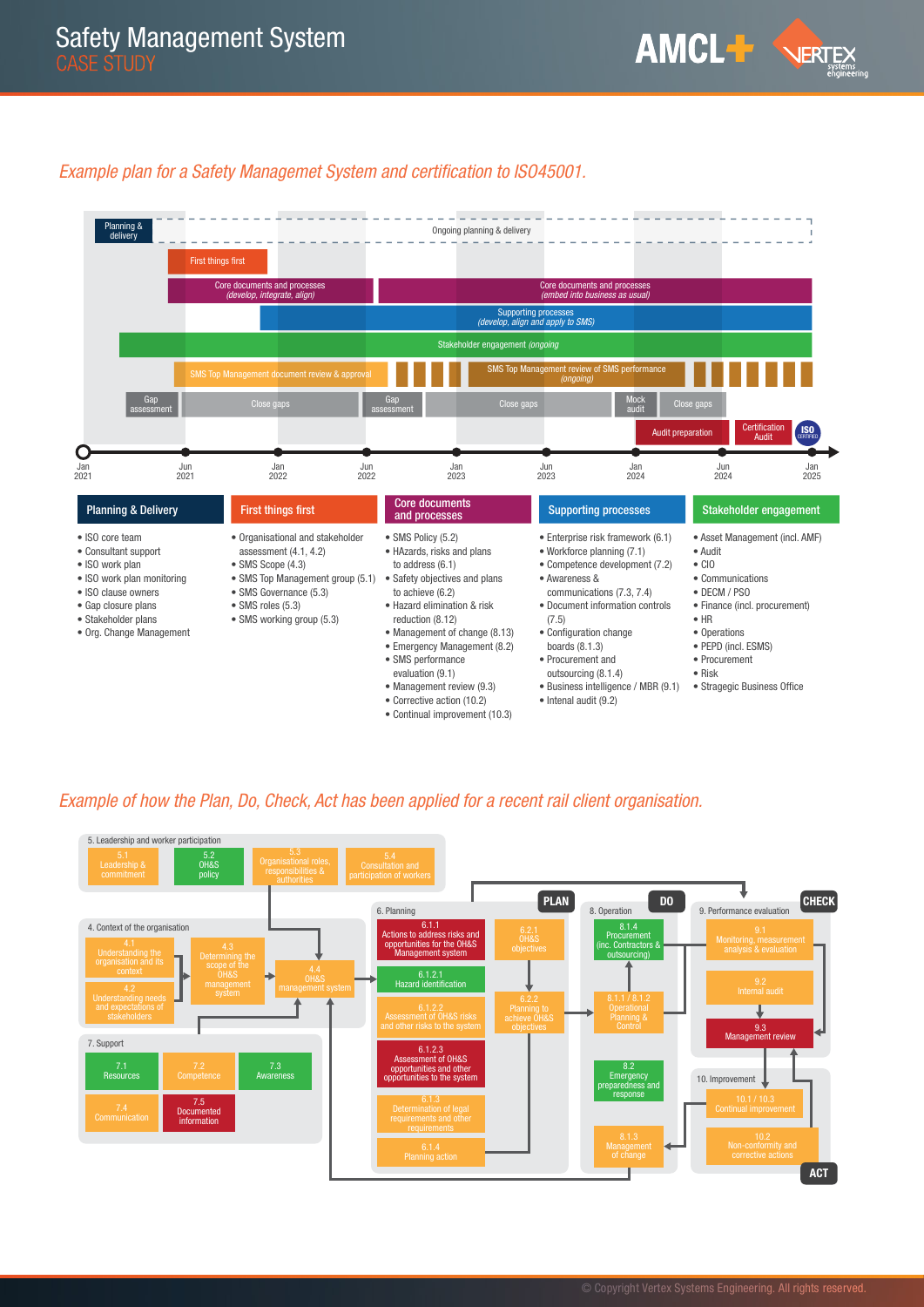#### Example plan for a Safety Managemet System and certification to ISO45001.



#### Example of how the Plan, Do, Check, Act has been applied for a recent rail client organisation.

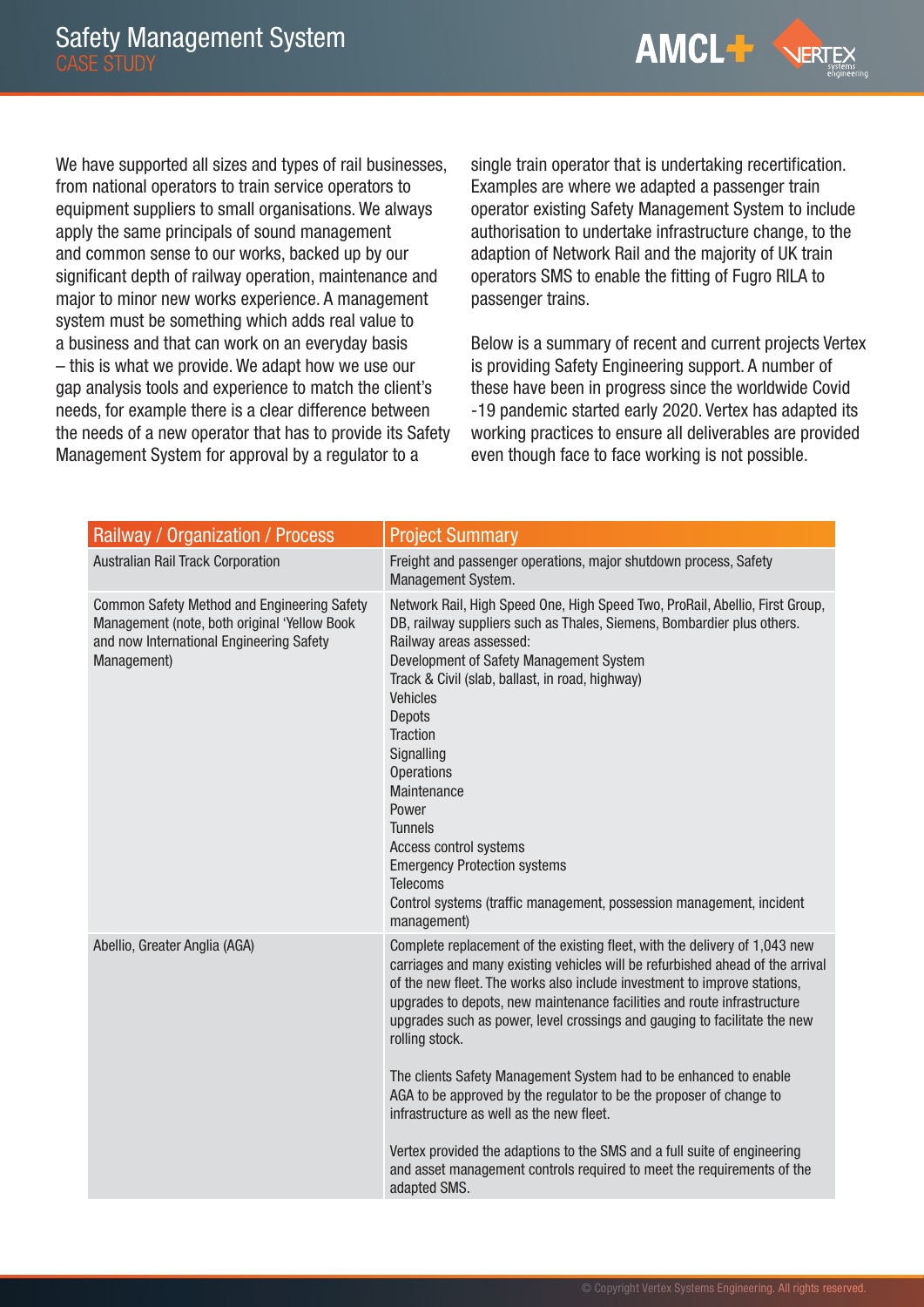**AMCL+ NERTEX** 

We have supported all sizes and types of rail businesses, from national operators to train service operators to equipment suppliers to small organisations. We always apply the same principals of sound management and common sense to our works, backed up by our significant depth of railway operation, maintenance and major to minor new works experience. A management system must be something which adds real value to a business and that can work on an everyday basis – this is what we provide. We adapt how we use our gap analysis tools and experience to match the client's needs, for example there is a clear difference between the needs of a new operator that has to provide its Safety Management System for approval by a regulator to a

single train operator that is undertaking recertification. Examples are where we adapted a passenger train operator existing Safety Management System to include authorisation to undertake infrastructure change, to the adaption of Network Rail and the majority of UK train operators SMS to enable the fitting of Fugro RILA to passenger trains.

Below is a summary of recent and current projects Vertex is providing Safety Engineering support. A number of these have been in progress since the worldwide Covid -19 pandemic started early 2020. Vertex has adapted its working practices to ensure all deliverables are provided even though face to face working is not possible.

| Railway / Organization / Process                                                                                                                       | <b>Project Summary</b>                                                                                                                                                                                                                                                                                                                                                                                                                                                                                                                                                                                                                                                                                                                                                          |
|--------------------------------------------------------------------------------------------------------------------------------------------------------|---------------------------------------------------------------------------------------------------------------------------------------------------------------------------------------------------------------------------------------------------------------------------------------------------------------------------------------------------------------------------------------------------------------------------------------------------------------------------------------------------------------------------------------------------------------------------------------------------------------------------------------------------------------------------------------------------------------------------------------------------------------------------------|
| Australian Rail Track Corporation                                                                                                                      | Freight and passenger operations, major shutdown process, Safety<br>Management System.                                                                                                                                                                                                                                                                                                                                                                                                                                                                                                                                                                                                                                                                                          |
| Common Safety Method and Engineering Safety<br>Management (note, both original 'Yellow Book<br>and now International Engineering Safety<br>Management) | Network Rail, High Speed One, High Speed Two, ProRail, Abellio, First Group,<br>DB, railway suppliers such as Thales, Siemens, Bombardier plus others.<br>Railway areas assessed:<br>Development of Safety Management System<br>Track & Civil (slab, ballast, in road, highway)<br><b>Vehicles</b><br><b>Depots</b><br><b>Traction</b><br>Signalling<br><b>Operations</b><br>Maintenance<br>Power<br><b>Tunnels</b><br>Access control systems<br><b>Emergency Protection systems</b><br><b>Telecoms</b><br>Control systems (traffic management, possession management, incident<br>management)                                                                                                                                                                                  |
| Abellio, Greater Anglia (AGA)                                                                                                                          | Complete replacement of the existing fleet, with the delivery of 1,043 new<br>carriages and many existing vehicles will be refurbished ahead of the arrival<br>of the new fleet. The works also include investment to improve stations,<br>upgrades to depots, new maintenance facilities and route infrastructure<br>upgrades such as power, level crossings and gauging to facilitate the new<br>rolling stock.<br>The clients Safety Management System had to be enhanced to enable<br>AGA to be approved by the regulator to be the proposer of change to<br>infrastructure as well as the new fleet.<br>Vertex provided the adaptions to the SMS and a full suite of engineering<br>and asset management controls required to meet the requirements of the<br>adapted SMS. |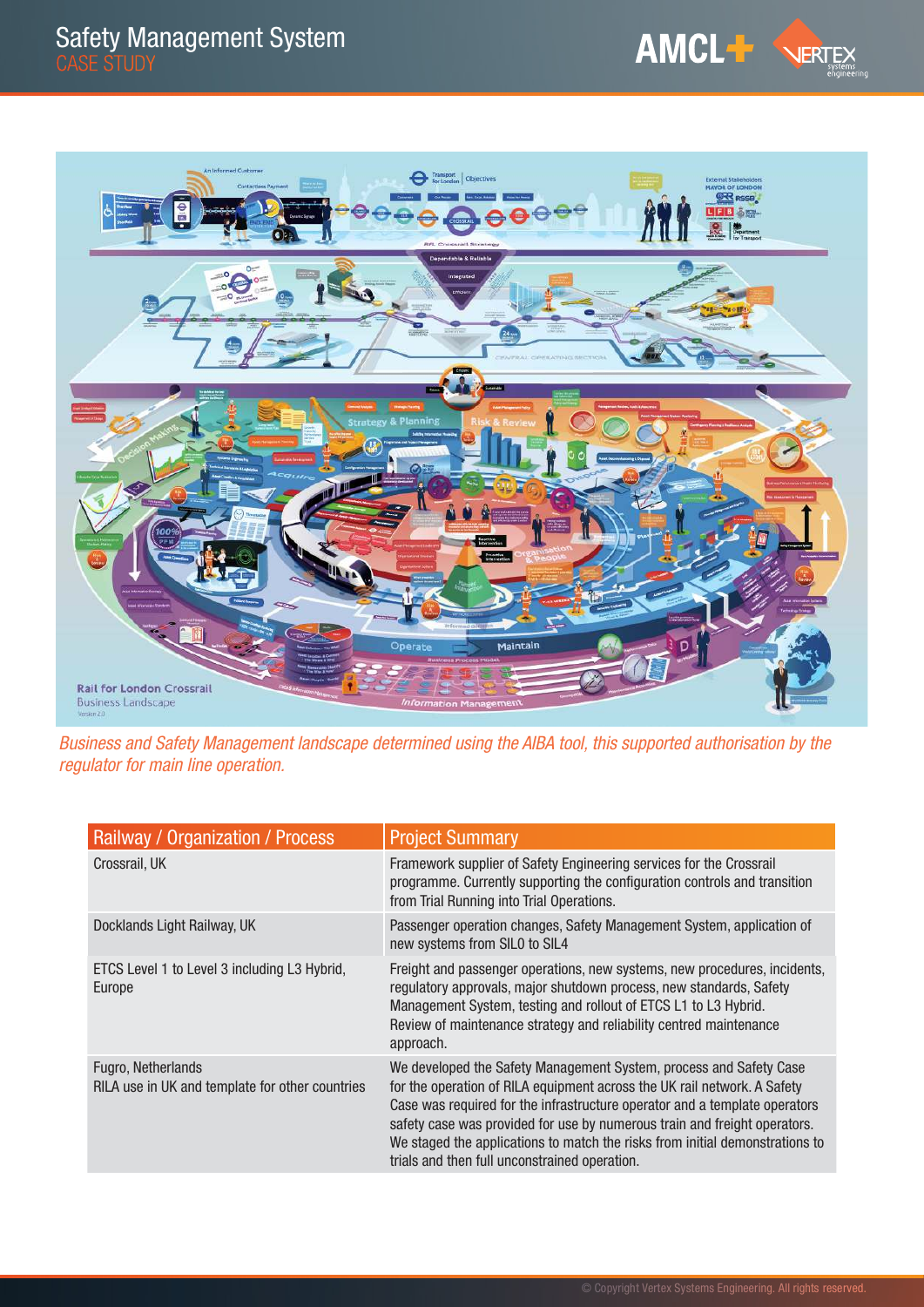

Business and Safety Management landscape determined using the AIBA tool, this supported authorisation by the regulator for main line operation.

| Railway / Organization / Process                                      | <b>Project Summary</b>                                                                                                                                                                                                                                                                                                                                                                                                                     |
|-----------------------------------------------------------------------|--------------------------------------------------------------------------------------------------------------------------------------------------------------------------------------------------------------------------------------------------------------------------------------------------------------------------------------------------------------------------------------------------------------------------------------------|
| Crossrail, UK                                                         | Framework supplier of Safety Engineering services for the Crossrail<br>programme. Currently supporting the configuration controls and transition<br>from Trial Running into Trial Operations.                                                                                                                                                                                                                                              |
| Docklands Light Railway, UK                                           | Passenger operation changes, Safety Management System, application of<br>new systems from SIL0 to SIL4                                                                                                                                                                                                                                                                                                                                     |
| ETCS Level 1 to Level 3 including L3 Hybrid,<br>Europe                | Freight and passenger operations, new systems, new procedures, incidents,<br>regulatory approvals, major shutdown process, new standards, Safety<br>Management System, testing and rollout of ETCS L1 to L3 Hybrid.<br>Review of maintenance strategy and reliability centred maintenance<br>approach.                                                                                                                                     |
| Fugro, Netherlands<br>RILA use in UK and template for other countries | We developed the Safety Management System, process and Safety Case<br>for the operation of RILA equipment across the UK rail network. A Safety<br>Case was required for the infrastructure operator and a template operators<br>safety case was provided for use by numerous train and freight operators.<br>We staged the applications to match the risks from initial demonstrations to<br>trials and then full unconstrained operation. |

AMCL<sup>+</sup> VERTEX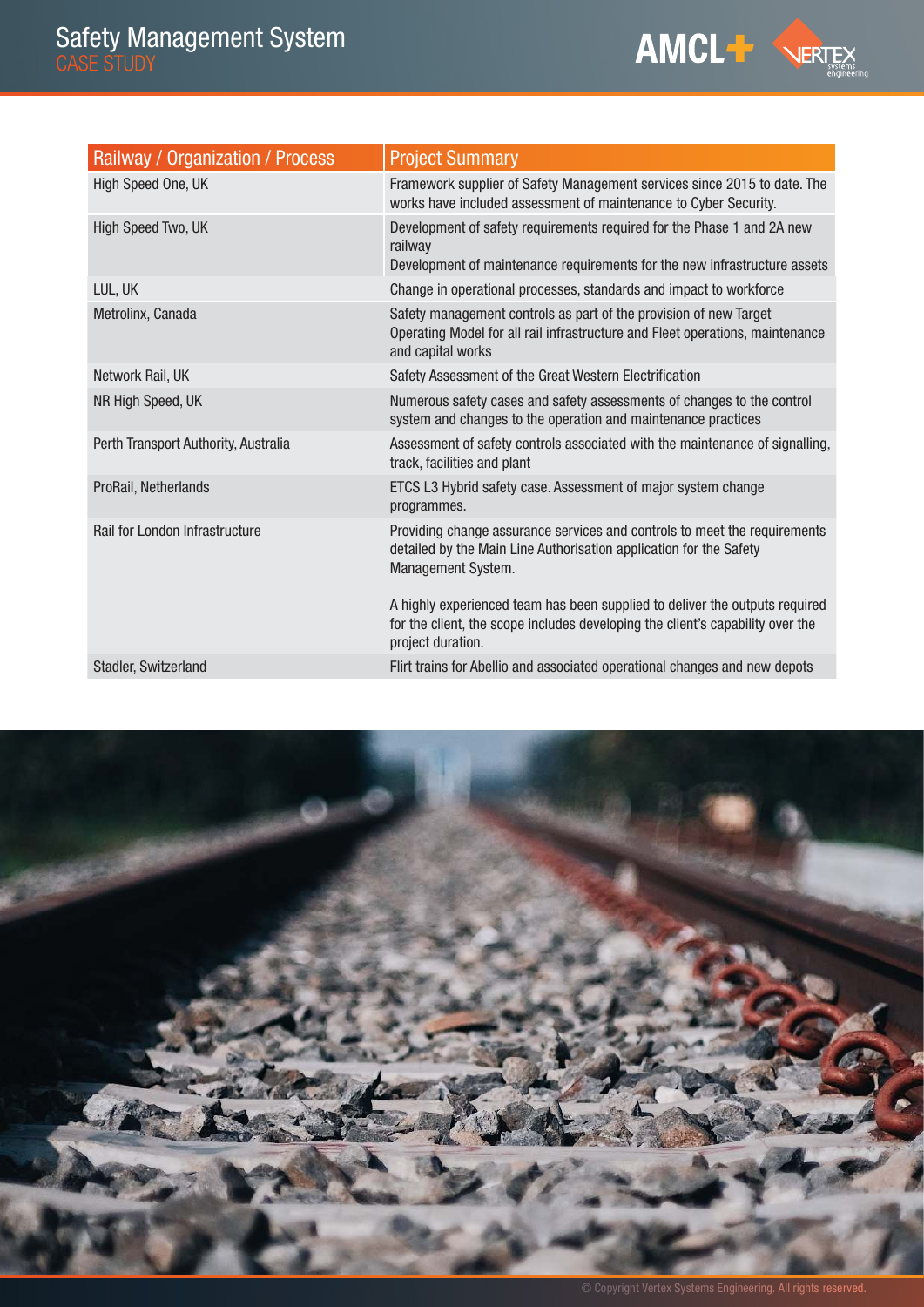| <b>Railway / Organization / Process</b> | <b>Project Summary</b>                                                                                                                                                             |
|-----------------------------------------|------------------------------------------------------------------------------------------------------------------------------------------------------------------------------------|
| High Speed One, UK                      | Framework supplier of Safety Management services since 2015 to date. The<br>works have included assessment of maintenance to Cyber Security.                                       |
| High Speed Two, UK                      | Development of safety requirements required for the Phase 1 and 2A new<br>railway<br>Development of maintenance requirements for the new infrastructure assets                     |
| LUL, UK                                 | Change in operational processes, standards and impact to workforce                                                                                                                 |
| Metrolinx, Canada                       | Safety management controls as part of the provision of new Target<br>Operating Model for all rail infrastructure and Fleet operations, maintenance<br>and capital works            |
| Network Rail, UK                        | Safety Assessment of the Great Western Electrification                                                                                                                             |
| NR High Speed, UK                       | Numerous safety cases and safety assessments of changes to the control<br>system and changes to the operation and maintenance practices                                            |
| Perth Transport Authority, Australia    | Assessment of safety controls associated with the maintenance of signalling,<br>track, facilities and plant                                                                        |
| ProRail, Netherlands                    | ETCS L3 Hybrid safety case. Assessment of major system change<br>programmes.                                                                                                       |
| Rail for London Infrastructure          | Providing change assurance services and controls to meet the requirements<br>detailed by the Main Line Authorisation application for the Safety<br>Management System.              |
|                                         | A highly experienced team has been supplied to deliver the outputs required<br>for the client, the scope includes developing the client's capability over the<br>project duration. |
| Stadler, Switzerland                    | Flirt trains for Abellio and associated operational changes and new depots                                                                                                         |



AMCL<sup>-1</sup> VERTEX